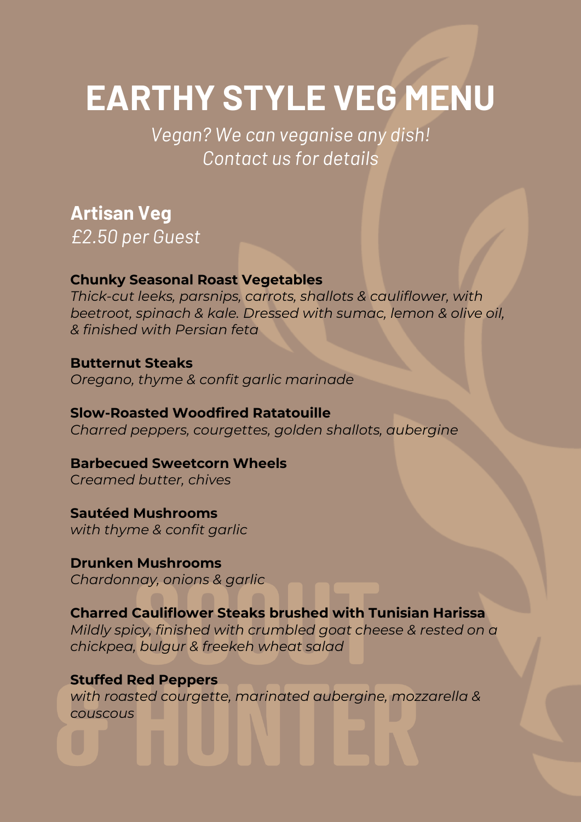# **EARTHY STYLE VEG MENU**

*Vegan? We can veganise any dish! Contact us for details*

**Artisan Veg**

*£2.50 per Guest*

#### **Chunky Seasonal Roast Vegetables**

*Thick-cut leeks, parsnips, carrots, shallots & cauliflower, with beetroot, spinach & kale. Dressed with sumac, lemon & olive oil, & finished with Persian feta* 

**Butternut Steaks** *Oregano, thyme & confit garlic marinade* 

**Slow-Roasted Woodfired Ratatouille** *Charred peppers, courgettes, golden shallots, aubergine*

**Barbecued Sweetcorn Wheels** C*reamed butter, chives*

**Sautéed Mushrooms** *with thyme & confit garlic*

**Drunken Mushrooms** *Chardonnay, onions & garlic*

**Charred Cauliflower Steaks brushed with Tunisian Harissa** *Mildly spicy, finished with crumbled goat cheese & rested on a chickpea, bulgur & freekeh wheat salad*

**Stuffed Red Peppers** *with roasted courgette, marinated aubergine, mozzarella & couscous*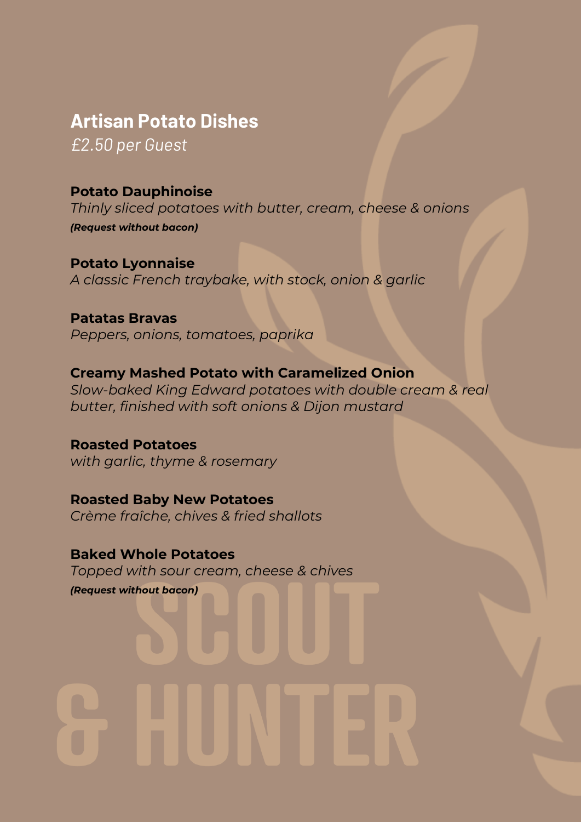# **Artisan Potato Dishes** *£2.50 per Guest*

**Potato Dauphinoise**

*Thinly sliced potatoes with butter, cream, cheese & onions (Request without bacon)*

**Potato Lyonnaise** *A classic French traybake, with stock, onion & garlic*

**Patatas Bravas** *Peppers, onions, tomatoes, paprika*

### **Creamy Mashed Potato with Caramelized Onion**

*Slow-baked King Edward potatoes with double cream & real butter, finished with soft onions & Dijon mustard*

**Roasted Potatoes** *with garlic, thyme & rosemary*

**Roasted Baby New Potatoes** *Crème fraîche, chives & fried shallots*

**Baked Whole Potatoes** *Topped with sour cream, cheese & chives (Request without bacon)*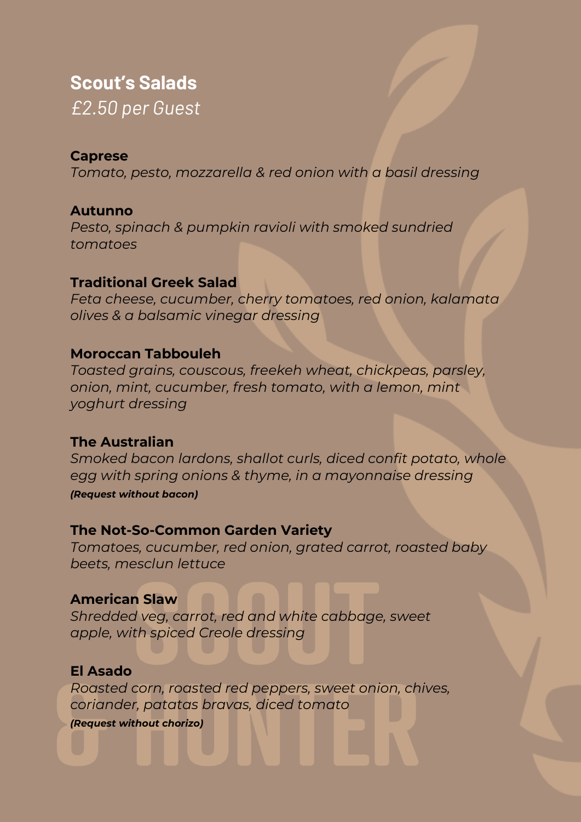## **Scout's Salads**

*£2.50 per Guest*

#### **Caprese**

*Tomato, pesto, mozzarella & red onion with a basil dressing*

#### **Autunno**

*Pesto, spinach & pumpkin ravioli with smoked sundried tomatoes*

#### **Traditional Greek Salad**

*Feta cheese, cucumber, cherry tomatoes, red onion, kalamata olives & a balsamic vinegar dressing*

#### **Moroccan Tabbouleh**

*Toasted grains, couscous, freekeh wheat, chickpeas, parsley, onion, mint, cucumber, fresh tomato, with a lemon, mint yoghurt dressing*

#### **The Australian**

*Smoked bacon lardons, shallot curls, diced confit potato, whole egg with spring onions & thyme, in a mayonnaise dressing (Request without bacon)*

#### **The Not-So-Common Garden Variety**

*Tomatoes, cucumber, red onion, grated carrot, roasted baby beets, mesclun lettuce*

#### **American Slaw**

*Shredded veg, carrot, red and white cabbage, sweet apple, with spiced Creole dressing*

#### **El Asado**

*Roasted corn, roasted red peppers, sweet onion, chives, coriander, patatas bravas, diced tomato*

*(Request without chorizo)*